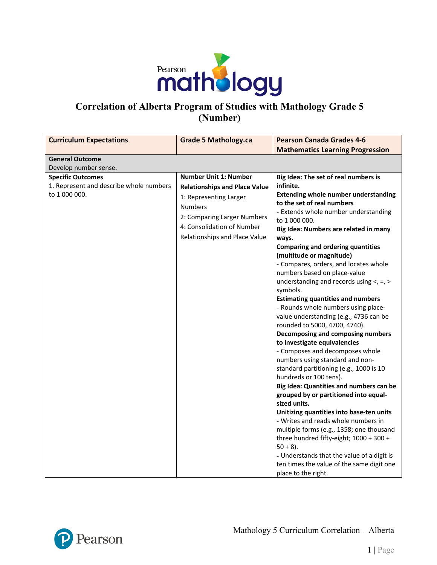

# **Correlation of Alberta Program of Studies with Mathology Grade 5 (Number)**

| <b>Curriculum Expectations</b>                                                       | <b>Grade 5 Mathology.ca</b>                                                                                                                                                                                    | <b>Pearson Canada Grades 4-6</b>                                                                                                                                                                                                                                                                                                                                                                                                                                                                                                                                                                                                                                                                                                                                                                                                                                                                                                                                                                                                                                                                                                                                                                                             |
|--------------------------------------------------------------------------------------|----------------------------------------------------------------------------------------------------------------------------------------------------------------------------------------------------------------|------------------------------------------------------------------------------------------------------------------------------------------------------------------------------------------------------------------------------------------------------------------------------------------------------------------------------------------------------------------------------------------------------------------------------------------------------------------------------------------------------------------------------------------------------------------------------------------------------------------------------------------------------------------------------------------------------------------------------------------------------------------------------------------------------------------------------------------------------------------------------------------------------------------------------------------------------------------------------------------------------------------------------------------------------------------------------------------------------------------------------------------------------------------------------------------------------------------------------|
|                                                                                      |                                                                                                                                                                                                                | <b>Mathematics Learning Progression</b>                                                                                                                                                                                                                                                                                                                                                                                                                                                                                                                                                                                                                                                                                                                                                                                                                                                                                                                                                                                                                                                                                                                                                                                      |
| <b>General Outcome</b>                                                               |                                                                                                                                                                                                                |                                                                                                                                                                                                                                                                                                                                                                                                                                                                                                                                                                                                                                                                                                                                                                                                                                                                                                                                                                                                                                                                                                                                                                                                                              |
| Develop number sense.                                                                |                                                                                                                                                                                                                |                                                                                                                                                                                                                                                                                                                                                                                                                                                                                                                                                                                                                                                                                                                                                                                                                                                                                                                                                                                                                                                                                                                                                                                                                              |
| <b>Specific Outcomes</b><br>1. Represent and describe whole numbers<br>to 1 000 000. | <b>Number Unit 1: Number</b><br><b>Relationships and Place Value</b><br>1: Representing Larger<br><b>Numbers</b><br>2: Comparing Larger Numbers<br>4: Consolidation of Number<br>Relationships and Place Value | Big Idea: The set of real numbers is<br>infinite.<br><b>Extending whole number understanding</b><br>to the set of real numbers<br>- Extends whole number understanding<br>to 1 000 000.<br>Big Idea: Numbers are related in many<br>ways.<br><b>Comparing and ordering quantities</b><br>(multitude or magnitude)<br>- Compares, orders, and locates whole<br>numbers based on place-value<br>understanding and records using $\lt$ , =, ><br>symbols.<br><b>Estimating quantities and numbers</b><br>- Rounds whole numbers using place-<br>value understanding (e.g., 4736 can be<br>rounded to 5000, 4700, 4740).<br>Decomposing and composing numbers<br>to investigate equivalencies<br>- Composes and decomposes whole<br>numbers using standard and non-<br>standard partitioning (e.g., 1000 is 10<br>hundreds or 100 tens).<br>Big Idea: Quantities and numbers can be<br>grouped by or partitioned into equal-<br>sized units.<br>Unitizing quantities into base-ten units<br>- Writes and reads whole numbers in<br>multiple forms (e.g., 1358; one thousand<br>three hundred fifty-eight; 1000 + 300 +<br>$50 + 8$ ).<br>- Understands that the value of a digit is<br>ten times the value of the same digit one |

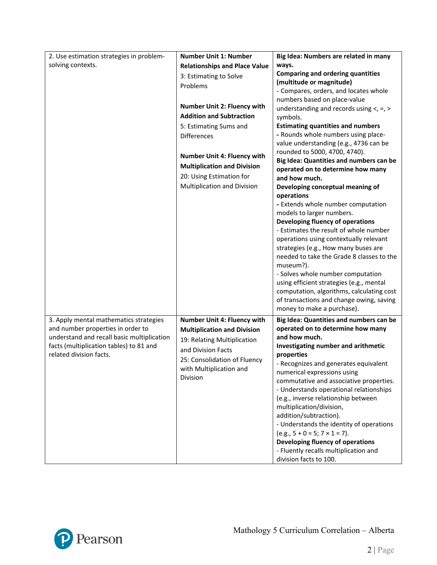| 2. Use estimation strategies in problem-   | <b>Number Unit 1: Number</b>         | Big Idea: Numbers are related in many                                                 |
|--------------------------------------------|--------------------------------------|---------------------------------------------------------------------------------------|
| solving contexts.                          | <b>Relationships and Place Value</b> | ways.                                                                                 |
|                                            | 3: Estimating to Solve               | <b>Comparing and ordering quantities</b>                                              |
|                                            | Problems                             | (multitude or magnitude)                                                              |
|                                            |                                      | - Compares, orders, and locates whole                                                 |
|                                            | <b>Number Unit 2: Fluency with</b>   | numbers based on place-value<br>understanding and records using $\lt$ , =, >          |
|                                            | <b>Addition and Subtraction</b>      | symbols.                                                                              |
|                                            | 5: Estimating Sums and               | <b>Estimating quantities and numbers</b>                                              |
|                                            | <b>Differences</b>                   | - Rounds whole numbers using place-                                                   |
|                                            |                                      | value understanding (e.g., 4736 can be                                                |
|                                            | <b>Number Unit 4: Fluency with</b>   | rounded to 5000, 4700, 4740).                                                         |
|                                            |                                      | Big Idea: Quantities and numbers can be                                               |
|                                            | <b>Multiplication and Division</b>   | operated on to determine how many                                                     |
|                                            | 20: Using Estimation for             | and how much.                                                                         |
|                                            | Multiplication and Division          | Developing conceptual meaning of                                                      |
|                                            |                                      | operations<br>- Extends whole number computation                                      |
|                                            |                                      | models to larger numbers.                                                             |
|                                            |                                      | Developing fluency of operations                                                      |
|                                            |                                      | - Estimates the result of whole number                                                |
|                                            |                                      | operations using contextually relevant                                                |
|                                            |                                      | strategies (e.g., How many buses are                                                  |
|                                            |                                      | needed to take the Grade 8 classes to the                                             |
|                                            |                                      | museum?).                                                                             |
|                                            |                                      | - Solves whole number computation                                                     |
|                                            |                                      | using efficient strategies (e.g., mental<br>computation, algorithms, calculating cost |
|                                            |                                      | of transactions and change owing, saving                                              |
|                                            |                                      | money to make a purchase).                                                            |
| 3. Apply mental mathematics strategies     | Number Unit 4: Fluency with          | Big Idea: Quantities and numbers can be                                               |
| and number properties in order to          | <b>Multiplication and Division</b>   | operated on to determine how many                                                     |
| understand and recall basic multiplication | 19: Relating Multiplication          | and how much.                                                                         |
| facts (multiplication tables) to 81 and    | and Division Facts                   | Investigating number and arithmetic                                                   |
| related division facts.                    | 25: Consolidation of Fluency         | properties                                                                            |
|                                            | with Multiplication and              | - Recognizes and generates equivalent                                                 |
|                                            | Division                             | numerical expressions using                                                           |
|                                            |                                      | commutative and associative properties.                                               |
|                                            |                                      | - Understands operational relationships<br>(e.g., inverse relationship between        |
|                                            |                                      | multiplication/division,                                                              |
|                                            |                                      | addition/subtraction).                                                                |
|                                            |                                      | - Understands the identity of operations                                              |
|                                            |                                      | $(e.g., 5 + 0 = 5; 7 \times 1 = 7).$                                                  |
|                                            |                                      | Developing fluency of operations                                                      |
|                                            |                                      | - Fluently recalls multiplication and                                                 |
|                                            |                                      | division facts to 100.                                                                |

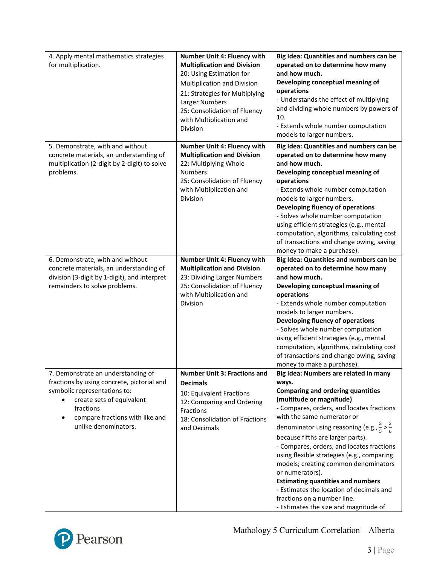| 4. Apply mental mathematics strategies<br>for multiplication.                                                                                                                                                         | <b>Number Unit 4: Fluency with</b><br><b>Multiplication and Division</b><br>20: Using Estimation for<br>Multiplication and Division<br>21: Strategies for Multiplying<br>Larger Numbers<br>25: Consolidation of Fluency<br>with Multiplication and<br>Division | Big Idea: Quantities and numbers can be<br>operated on to determine how many<br>and how much.<br>Developing conceptual meaning of<br>operations<br>- Understands the effect of multiplying<br>and dividing whole numbers by powers of<br>10.<br>- Extends whole number computation<br>models to larger numbers.                                                                                                                                                                                                                                                                                                                  |
|-----------------------------------------------------------------------------------------------------------------------------------------------------------------------------------------------------------------------|----------------------------------------------------------------------------------------------------------------------------------------------------------------------------------------------------------------------------------------------------------------|----------------------------------------------------------------------------------------------------------------------------------------------------------------------------------------------------------------------------------------------------------------------------------------------------------------------------------------------------------------------------------------------------------------------------------------------------------------------------------------------------------------------------------------------------------------------------------------------------------------------------------|
| 5. Demonstrate, with and without<br>concrete materials, an understanding of<br>multiplication (2-digit by 2-digit) to solve<br>problems.                                                                              | Number Unit 4: Fluency with<br><b>Multiplication and Division</b><br>22: Multiplying Whole<br><b>Numbers</b><br>25: Consolidation of Fluency<br>with Multiplication and<br><b>Division</b>                                                                     | Big Idea: Quantities and numbers can be<br>operated on to determine how many<br>and how much.<br>Developing conceptual meaning of<br>operations<br>- Extends whole number computation<br>models to larger numbers.<br>Developing fluency of operations<br>- Solves whole number computation<br>using efficient strategies (e.g., mental<br>computation, algorithms, calculating cost<br>of transactions and change owing, saving<br>money to make a purchase).                                                                                                                                                                   |
| 6. Demonstrate, with and without<br>concrete materials, an understanding of<br>division (3-digit by 1-digit), and interpret<br>remainders to solve problems.                                                          | Number Unit 4: Fluency with<br><b>Multiplication and Division</b><br>23: Dividing Larger Numbers<br>25: Consolidation of Fluency<br>with Multiplication and<br>Division                                                                                        | Big Idea: Quantities and numbers can be<br>operated on to determine how many<br>and how much.<br>Developing conceptual meaning of<br>operations<br>- Extends whole number computation<br>models to larger numbers.<br>Developing fluency of operations<br>- Solves whole number computation<br>using efficient strategies (e.g., mental<br>computation, algorithms, calculating cost<br>of transactions and change owing, saving<br>money to make a purchase).                                                                                                                                                                   |
| 7. Demonstrate an understanding of<br>fractions by using concrete, pictorial and<br>symbolic representations to:<br>create sets of equivalent<br>fractions<br>compare fractions with like and<br>unlike denominators. | <b>Number Unit 3: Fractions and</b><br><b>Decimals</b><br>10: Equivalent Fractions<br>12: Comparing and Ordering<br>Fractions<br>18: Consolidation of Fractions<br>and Decimals                                                                                | Big Idea: Numbers are related in many<br>ways.<br><b>Comparing and ordering quantities</b><br>(multitude or magnitude)<br>- Compares, orders, and locates fractions<br>with the same numerator or<br>denominator using reasoning (e.g., $\frac{3}{5}$ > $\frac{3}{6}$<br>because fifths are larger parts).<br>- Compares, orders, and locates fractions<br>using flexible strategies (e.g., comparing<br>models; creating common denominators<br>or numerators).<br><b>Estimating quantities and numbers</b><br>- Estimates the location of decimals and<br>fractions on a number line.<br>- Estimates the size and magnitude of |

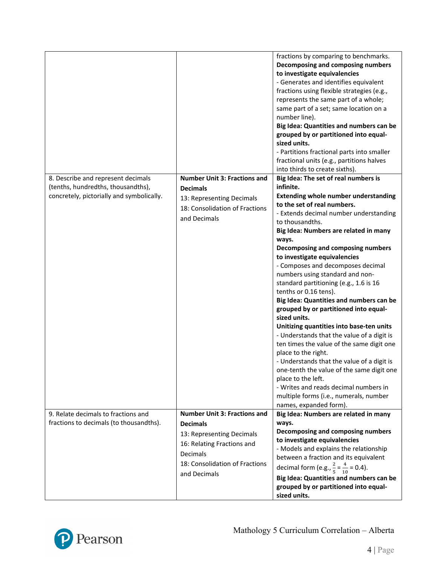|                                                                                                                       |                                                                                                                                                                                 | fractions by comparing to benchmarks.<br>Decomposing and composing numbers<br>to investigate equivalencies<br>- Generates and identifies equivalent<br>fractions using flexible strategies (e.g.,<br>represents the same part of a whole;<br>same part of a set; same location on a<br>number line).<br>Big Idea: Quantities and numbers can be<br>grouped by or partitioned into equal-<br>sized units.<br>- Partitions fractional parts into smaller<br>fractional units (e.g., partitions halves<br>into thirds to create sixths).                                                                                                                                                                                                                                                                                                                                                                                                                          |
|-----------------------------------------------------------------------------------------------------------------------|---------------------------------------------------------------------------------------------------------------------------------------------------------------------------------|----------------------------------------------------------------------------------------------------------------------------------------------------------------------------------------------------------------------------------------------------------------------------------------------------------------------------------------------------------------------------------------------------------------------------------------------------------------------------------------------------------------------------------------------------------------------------------------------------------------------------------------------------------------------------------------------------------------------------------------------------------------------------------------------------------------------------------------------------------------------------------------------------------------------------------------------------------------|
| 8. Describe and represent decimals<br>(tenths, hundredths, thousandths),<br>concretely, pictorially and symbolically. | <b>Number Unit 3: Fractions and</b><br><b>Decimals</b><br>13: Representing Decimals<br>18: Consolidation of Fractions<br>and Decimals                                           | Big Idea: The set of real numbers is<br>infinite.<br><b>Extending whole number understanding</b><br>to the set of real numbers.<br>- Extends decimal number understanding<br>to thousandths.<br>Big Idea: Numbers are related in many<br>ways.<br>Decomposing and composing numbers<br>to investigate equivalencies<br>- Composes and decomposes decimal<br>numbers using standard and non-<br>standard partitioning (e.g., 1.6 is 16<br>tenths or 0.16 tens).<br>Big Idea: Quantities and numbers can be<br>grouped by or partitioned into equal-<br>sized units.<br>Unitizing quantities into base-ten units<br>- Understands that the value of a digit is<br>ten times the value of the same digit one<br>place to the right.<br>- Understands that the value of a digit is<br>one-tenth the value of the same digit one<br>place to the left.<br>- Writes and reads decimal numbers in<br>multiple forms (i.e., numerals, number<br>names, expanded form). |
| 9. Relate decimals to fractions and<br>fractions to decimals (to thousandths).                                        | <b>Number Unit 3: Fractions and</b><br><b>Decimals</b><br>13: Representing Decimals<br>16: Relating Fractions and<br>Decimals<br>18: Consolidation of Fractions<br>and Decimals | Big Idea: Numbers are related in many<br>ways.<br>Decomposing and composing numbers<br>to investigate equivalencies<br>- Models and explains the relationship<br>between a fraction and its equivalent<br>decimal form (e.g., $\frac{2}{5} = \frac{4}{10} = 0.4$ ).<br>Big Idea: Quantities and numbers can be<br>grouped by or partitioned into equal-<br>sized units.                                                                                                                                                                                                                                                                                                                                                                                                                                                                                                                                                                                        |

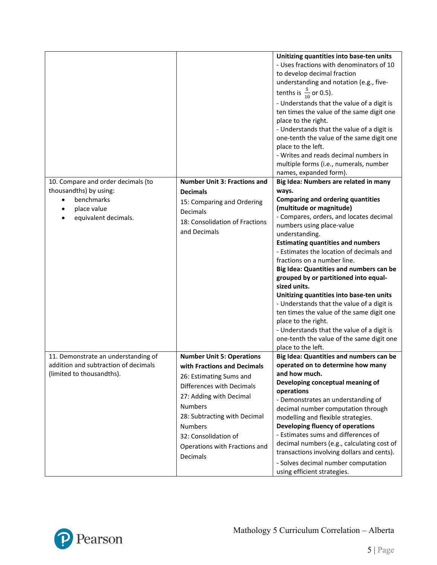|                                                                                                          |                                                                                                                                                                                                                                                                                             | Unitizing quantities into base-ten units<br>- Uses fractions with denominators of 10<br>to develop decimal fraction<br>understanding and notation (e.g., five-<br>tenths is $\frac{5}{10}$ or 0.5).<br>- Understands that the value of a digit is<br>ten times the value of the same digit one<br>place to the right.<br>- Understands that the value of a digit is<br>one-tenth the value of the same digit one<br>place to the left.<br>- Writes and reads decimal numbers in<br>multiple forms (i.e., numerals, number<br>names, expanded form).                                                                                                                               |
|----------------------------------------------------------------------------------------------------------|---------------------------------------------------------------------------------------------------------------------------------------------------------------------------------------------------------------------------------------------------------------------------------------------|-----------------------------------------------------------------------------------------------------------------------------------------------------------------------------------------------------------------------------------------------------------------------------------------------------------------------------------------------------------------------------------------------------------------------------------------------------------------------------------------------------------------------------------------------------------------------------------------------------------------------------------------------------------------------------------|
| 10. Compare and order decimals (to                                                                       | <b>Number Unit 3: Fractions and</b>                                                                                                                                                                                                                                                         | Big Idea: Numbers are related in many                                                                                                                                                                                                                                                                                                                                                                                                                                                                                                                                                                                                                                             |
| thousandths) by using:<br>benchmarks<br>place value<br>equivalent decimals.                              | <b>Decimals</b><br>15: Comparing and Ordering<br><b>Decimals</b><br>18: Consolidation of Fractions<br>and Decimals                                                                                                                                                                          | ways.<br><b>Comparing and ordering quantities</b><br>(multitude or magnitude)<br>- Compares, orders, and locates decimal<br>numbers using place-value<br>understanding.<br><b>Estimating quantities and numbers</b><br>- Estimates the location of decimals and<br>fractions on a number line.<br>Big Idea: Quantities and numbers can be<br>grouped by or partitioned into equal-<br>sized units.<br>Unitizing quantities into base-ten units<br>- Understands that the value of a digit is<br>ten times the value of the same digit one<br>place to the right.<br>- Understands that the value of a digit is<br>one-tenth the value of the same digit one<br>place to the left. |
| 11. Demonstrate an understanding of<br>addition and subtraction of decimals<br>(limited to thousandths). | <b>Number Unit 5: Operations</b><br>with Fractions and Decimals<br>26: Estimating Sums and<br>Differences with Decimals<br>27: Adding with Decimal<br><b>Numbers</b><br>28: Subtracting with Decimal<br><b>Numbers</b><br>32: Consolidation of<br>Operations with Fractions and<br>Decimals | Big Idea: Quantities and numbers can be<br>operated on to determine how many<br>and how much.<br>Developing conceptual meaning of<br>operations<br>- Demonstrates an understanding of<br>decimal number computation through<br>modelling and flexible strategies.<br>Developing fluency of operations<br>- Estimates sums and differences of<br>decimal numbers (e.g., calculating cost of<br>transactions involving dollars and cents).<br>- Solves decimal number computation<br>using efficient strategies.                                                                                                                                                                    |

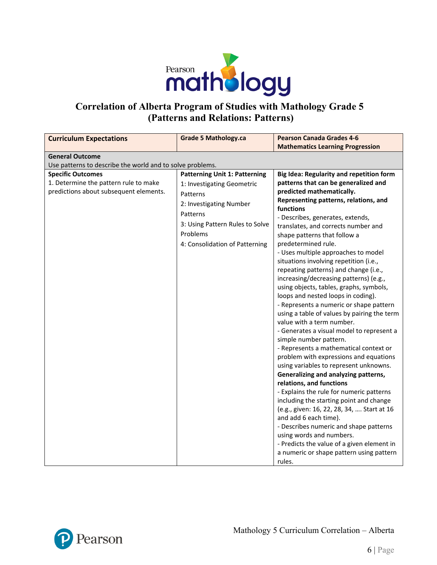

### **Correlation of Alberta Program of Studies with Mathology Grade 5 (Patterns and Relations: Patterns)**

| <b>Curriculum Expectations</b>                                                                                                                                           | <b>Grade 5 Mathology.ca</b>                                                                                                                                                                            | <b>Pearson Canada Grades 4-6</b>                                                                                                                                                                                                                                                                                                                                                                                                                                                                                                                                                                                                                                                                                                                                                                                                                                                                                                                           |
|--------------------------------------------------------------------------------------------------------------------------------------------------------------------------|--------------------------------------------------------------------------------------------------------------------------------------------------------------------------------------------------------|------------------------------------------------------------------------------------------------------------------------------------------------------------------------------------------------------------------------------------------------------------------------------------------------------------------------------------------------------------------------------------------------------------------------------------------------------------------------------------------------------------------------------------------------------------------------------------------------------------------------------------------------------------------------------------------------------------------------------------------------------------------------------------------------------------------------------------------------------------------------------------------------------------------------------------------------------------|
|                                                                                                                                                                          |                                                                                                                                                                                                        | <b>Mathematics Learning Progression</b>                                                                                                                                                                                                                                                                                                                                                                                                                                                                                                                                                                                                                                                                                                                                                                                                                                                                                                                    |
| <b>General Outcome</b>                                                                                                                                                   |                                                                                                                                                                                                        |                                                                                                                                                                                                                                                                                                                                                                                                                                                                                                                                                                                                                                                                                                                                                                                                                                                                                                                                                            |
|                                                                                                                                                                          |                                                                                                                                                                                                        |                                                                                                                                                                                                                                                                                                                                                                                                                                                                                                                                                                                                                                                                                                                                                                                                                                                                                                                                                            |
| Use patterns to describe the world and to solve problems.<br><b>Specific Outcomes</b><br>1. Determine the pattern rule to make<br>predictions about subsequent elements. | <b>Patterning Unit 1: Patterning</b><br>1: Investigating Geometric<br>Patterns<br>2: Investigating Number<br>Patterns<br>3: Using Pattern Rules to Solve<br>Problems<br>4: Consolidation of Patterning | Big Idea: Regularity and repetition form<br>patterns that can be generalized and<br>predicted mathematically.<br>Representing patterns, relations, and<br>functions<br>- Describes, generates, extends,<br>translates, and corrects number and<br>shape patterns that follow a<br>predetermined rule.<br>- Uses multiple approaches to model<br>situations involving repetition (i.e.,<br>repeating patterns) and change (i.e.,<br>increasing/decreasing patterns) (e.g.,<br>using objects, tables, graphs, symbols,<br>loops and nested loops in coding).<br>- Represents a numeric or shape pattern<br>using a table of values by pairing the term<br>value with a term number.<br>- Generates a visual model to represent a<br>simple number pattern.<br>- Represents a mathematical context or<br>problem with expressions and equations<br>using variables to represent unknowns.<br>Generalizing and analyzing patterns,<br>relations, and functions |
|                                                                                                                                                                          |                                                                                                                                                                                                        | - Explains the rule for numeric patterns<br>including the starting point and change                                                                                                                                                                                                                                                                                                                                                                                                                                                                                                                                                                                                                                                                                                                                                                                                                                                                        |
|                                                                                                                                                                          |                                                                                                                                                                                                        | (e.g., given: 16, 22, 28, 34,  Start at 16<br>and add 6 each time).                                                                                                                                                                                                                                                                                                                                                                                                                                                                                                                                                                                                                                                                                                                                                                                                                                                                                        |
|                                                                                                                                                                          |                                                                                                                                                                                                        | - Describes numeric and shape patterns<br>using words and numbers.<br>- Predicts the value of a given element in                                                                                                                                                                                                                                                                                                                                                                                                                                                                                                                                                                                                                                                                                                                                                                                                                                           |
|                                                                                                                                                                          |                                                                                                                                                                                                        | a numeric or shape pattern using pattern<br>rules.                                                                                                                                                                                                                                                                                                                                                                                                                                                                                                                                                                                                                                                                                                                                                                                                                                                                                                         |

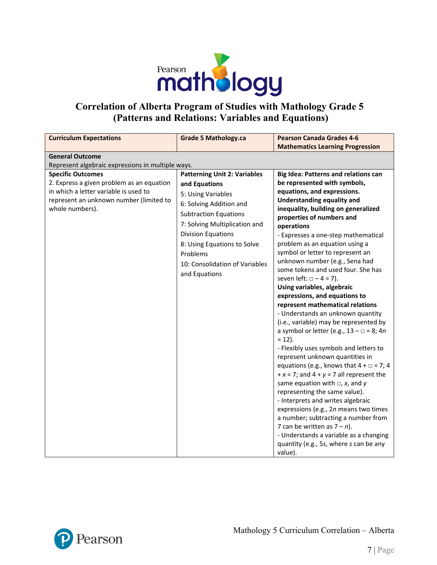

## **Correlation of Alberta Program of Studies with Mathology Grade 5 (Patterns and Relations: Variables and Equations)**

| <b>Grade 5 Mathology.ca</b>                                                                                                                                                                                                                                                                                                                            | <b>Pearson Canada Grades 4-6</b><br><b>Mathematics Learning Progression</b>                                                                                                                                                                                                                                                                                                                                                                                                                                                                                                                                                                                                                                                                                                                                                                                                                                                                                                                                                                                                                                                                                              |
|--------------------------------------------------------------------------------------------------------------------------------------------------------------------------------------------------------------------------------------------------------------------------------------------------------------------------------------------------------|--------------------------------------------------------------------------------------------------------------------------------------------------------------------------------------------------------------------------------------------------------------------------------------------------------------------------------------------------------------------------------------------------------------------------------------------------------------------------------------------------------------------------------------------------------------------------------------------------------------------------------------------------------------------------------------------------------------------------------------------------------------------------------------------------------------------------------------------------------------------------------------------------------------------------------------------------------------------------------------------------------------------------------------------------------------------------------------------------------------------------------------------------------------------------|
|                                                                                                                                                                                                                                                                                                                                                        |                                                                                                                                                                                                                                                                                                                                                                                                                                                                                                                                                                                                                                                                                                                                                                                                                                                                                                                                                                                                                                                                                                                                                                          |
|                                                                                                                                                                                                                                                                                                                                                        |                                                                                                                                                                                                                                                                                                                                                                                                                                                                                                                                                                                                                                                                                                                                                                                                                                                                                                                                                                                                                                                                                                                                                                          |
| Represent algebraic expressions in multiple ways.<br><b>Patterning Unit 2: Variables</b><br>and Equations<br>5: Using Variables<br>6: Solving Addition and<br><b>Subtraction Equations</b><br>7: Solving Multiplication and<br><b>Division Equations</b><br>8: Using Equations to Solve<br>Problems<br>10: Consolidation of Variables<br>and Equations | <b>Big Idea: Patterns and relations can</b><br>be represented with symbols,<br>equations, and expressions.<br><b>Understanding equality and</b><br>inequality, building on generalized<br>properties of numbers and<br>operations<br>- Expresses a one-step mathematical<br>problem as an equation using a<br>symbol or letter to represent an<br>unknown number (e.g., Sena had<br>some tokens and used four. She has<br>seven left: $\Box - 4 = 7$ ).<br>Using variables, algebraic<br>expressions, and equations to<br>represent mathematical relations<br>- Understands an unknown quantity<br>(i.e., variable) may be represented by<br>a symbol or letter (e.g., $13 - \square = 8$ ; 4n<br>$= 12$ ).<br>- Flexibly uses symbols and letters to<br>represent unknown quantities in<br>equations (e.g., knows that $4 + \square = 7$ ; 4<br>+ $x = 7$ ; and $4 + y = 7$ all represent the<br>same equation with $\Box$ , x, and y<br>representing the same value).<br>- Interprets and writes algebraic<br>expressions (e.g., 2n means two times<br>a number; subtracting a number from<br>7 can be written as $7 - n$ ).<br>- Understands a variable as a changing |
|                                                                                                                                                                                                                                                                                                                                                        |                                                                                                                                                                                                                                                                                                                                                                                                                                                                                                                                                                                                                                                                                                                                                                                                                                                                                                                                                                                                                                                                                                                                                                          |

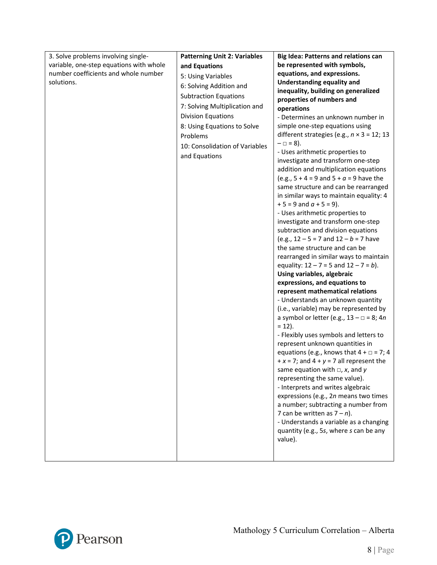| 3. Solve problems involving single-     | <b>Patterning Unit 2: Variables</b> | <b>Big Idea: Patterns and relations can</b>                            |
|-----------------------------------------|-------------------------------------|------------------------------------------------------------------------|
| variable, one-step equations with whole | and Equations                       | be represented with symbols,                                           |
| number coefficients and whole number    | 5: Using Variables                  | equations, and expressions.                                            |
| solutions.                              | 6: Solving Addition and             | <b>Understanding equality and</b>                                      |
|                                         | <b>Subtraction Equations</b>        | inequality, building on generalized                                    |
|                                         |                                     | properties of numbers and                                              |
|                                         | 7: Solving Multiplication and       | operations                                                             |
|                                         | Division Equations                  | - Determines an unknown number in                                      |
|                                         | 8: Using Equations to Solve         | simple one-step equations using                                        |
|                                         | Problems                            | different strategies (e.g., $n \times 3 = 12$ ; 13                     |
|                                         | 10: Consolidation of Variables      | $-\Box = 8$ ).                                                         |
|                                         | and Equations                       | - Uses arithmetic properties to                                        |
|                                         |                                     | investigate and transform one-step                                     |
|                                         |                                     | addition and multiplication equations                                  |
|                                         |                                     | (e.g., $5 + 4 = 9$ and $5 + a = 9$ have the                            |
|                                         |                                     | same structure and can be rearranged                                   |
|                                         |                                     | in similar ways to maintain equality: 4<br>$+5 = 9$ and $a + 5 = 9$ ). |
|                                         |                                     | - Uses arithmetic properties to                                        |
|                                         |                                     | investigate and transform one-step                                     |
|                                         |                                     | subtraction and division equations                                     |
|                                         |                                     | (e.g., $12 - 5 = 7$ and $12 - b = 7$ have                              |
|                                         |                                     | the same structure and can be                                          |
|                                         |                                     | rearranged in similar ways to maintain                                 |
|                                         |                                     | equality: $12 - 7 = 5$ and $12 - 7 = b$ ).                             |
|                                         |                                     | Using variables, algebraic                                             |
|                                         |                                     | expressions, and equations to                                          |
|                                         |                                     | represent mathematical relations                                       |
|                                         |                                     | - Understands an unknown quantity                                      |
|                                         |                                     | (i.e., variable) may be represented by                                 |
|                                         |                                     | a symbol or letter (e.g., $13 - \square = 8$ ; 4n                      |
|                                         |                                     | $= 12$ ).                                                              |
|                                         |                                     | - Flexibly uses symbols and letters to                                 |
|                                         |                                     | represent unknown quantities in                                        |
|                                         |                                     | equations (e.g., knows that $4 + \square = 7$ ; 4                      |
|                                         |                                     | $+x = 7$ ; and $4 + y = 7$ all represent the                           |
|                                         |                                     | same equation with $\Box$ , x, and y                                   |
|                                         |                                     | representing the same value).                                          |
|                                         |                                     | - Interprets and writes algebraic                                      |
|                                         |                                     | expressions (e.g., 2n means two times                                  |
|                                         |                                     | a number; subtracting a number from                                    |
|                                         |                                     | 7 can be written as $7 - n$ ).                                         |
|                                         |                                     | - Understands a variable as a changing                                 |
|                                         |                                     | quantity (e.g., 5s, where s can be any                                 |
|                                         |                                     | value).                                                                |
|                                         |                                     |                                                                        |
|                                         |                                     |                                                                        |

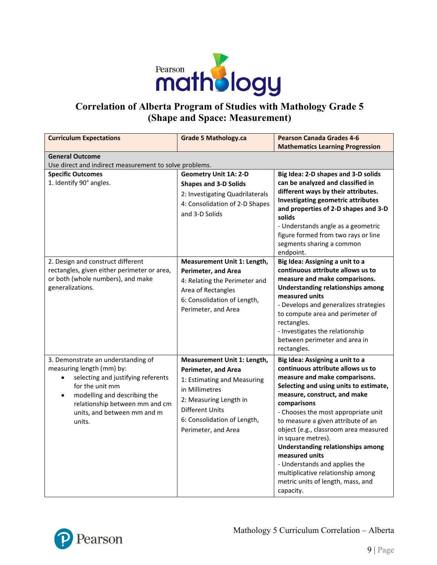

# **Correlation of Alberta Program of Studies with Mathology Grade 5 (Shape and Space: Measurement)**

| <b>Curriculum Expectations</b>                                                                                                                                                                                                                                | <b>Grade 5 Mathology.ca</b>                                                                                                                                                                                          | <b>Pearson Canada Grades 4-6</b><br><b>Mathematics Learning Progression</b>                                                                                                                                                                                                                                                                                                                                                                                                                                                      |  |
|---------------------------------------------------------------------------------------------------------------------------------------------------------------------------------------------------------------------------------------------------------------|----------------------------------------------------------------------------------------------------------------------------------------------------------------------------------------------------------------------|----------------------------------------------------------------------------------------------------------------------------------------------------------------------------------------------------------------------------------------------------------------------------------------------------------------------------------------------------------------------------------------------------------------------------------------------------------------------------------------------------------------------------------|--|
| <b>General Outcome</b><br>Use direct and indirect measurement to solve problems.                                                                                                                                                                              |                                                                                                                                                                                                                      |                                                                                                                                                                                                                                                                                                                                                                                                                                                                                                                                  |  |
| <b>Specific Outcomes</b><br>1. Identify 90° angles.                                                                                                                                                                                                           | <b>Geometry Unit 1A: 2-D</b><br><b>Shapes and 3-D Solids</b><br>2: Investigating Quadrilaterals<br>4: Consolidation of 2-D Shapes<br>and 3-D Solids                                                                  | Big Idea: 2-D shapes and 3-D solids<br>can be analyzed and classified in<br>different ways by their attributes.<br><b>Investigating geometric attributes</b><br>and properties of 2-D shapes and 3-D<br>solids<br>- Understands angle as a geometric<br>figure formed from two rays or line<br>segments sharing a common<br>endpoint.                                                                                                                                                                                            |  |
| 2. Design and construct different<br>rectangles, given either perimeter or area,<br>or both (whole numbers), and make<br>generalizations.                                                                                                                     | Measurement Unit 1: Length,<br><b>Perimeter, and Area</b><br>4: Relating the Perimeter and<br>Area of Rectangles<br>6: Consolidation of Length,<br>Perimeter, and Area                                               | Big Idea: Assigning a unit to a<br>continuous attribute allows us to<br>measure and make comparisons.<br><b>Understanding relationships among</b><br>measured units<br>- Develops and generalizes strategies<br>to compute area and perimeter of<br>rectangles.<br>- Investigates the relationship<br>between perimeter and area in<br>rectangles.                                                                                                                                                                               |  |
| 3. Demonstrate an understanding of<br>measuring length (mm) by:<br>selecting and justifying referents<br>$\bullet$<br>for the unit mm<br>modelling and describing the<br>$\bullet$<br>relationship between mm and cm<br>units, and between mm and m<br>units. | Measurement Unit 1: Length,<br><b>Perimeter, and Area</b><br>1: Estimating and Measuring<br>in Millimetres<br>2: Measuring Length in<br><b>Different Units</b><br>6: Consolidation of Length,<br>Perimeter, and Area | Big Idea: Assigning a unit to a<br>continuous attribute allows us to<br>measure and make comparisons.<br>Selecting and using units to estimate,<br>measure, construct, and make<br>comparisons<br>- Chooses the most appropriate unit<br>to measure a given attribute of an<br>object (e.g., classroom area measured<br>in square metres).<br><b>Understanding relationships among</b><br>measured units<br>- Understands and applies the<br>multiplicative relationship among<br>metric units of length, mass, and<br>capacity. |  |

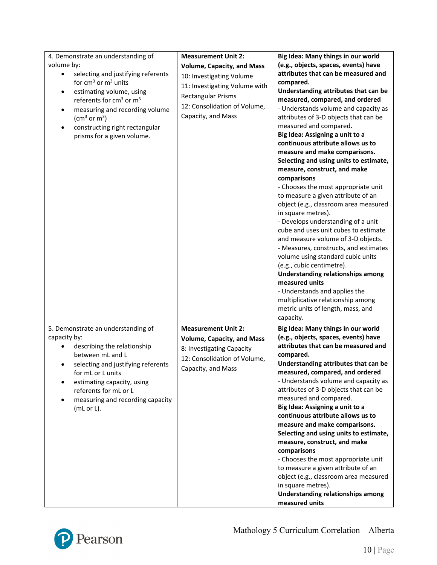| 4. Demonstrate an understanding of<br>volume by:<br>selecting and justifying referents<br>٠<br>for $cm3$ or $m3$ units<br>estimating volume, using<br>$\bullet$<br>referents for cm <sup>3</sup> or m <sup>3</sup><br>measuring and recording volume<br>$\bullet$<br>$\rm (cm^3~or~m^3)$<br>constructing right rectangular<br>prisms for a given volume. | <b>Measurement Unit 2:</b><br><b>Volume, Capacity, and Mass</b><br>10: Investigating Volume<br>11: Investigating Volume with<br><b>Rectangular Prisms</b><br>12: Consolidation of Volume,<br>Capacity, and Mass | Big Idea: Many things in our world<br>(e.g., objects, spaces, events) have<br>attributes that can be measured and<br>compared.<br>Understanding attributes that can be<br>measured, compared, and ordered<br>- Understands volume and capacity as<br>attributes of 3-D objects that can be<br>measured and compared.<br>Big Idea: Assigning a unit to a<br>continuous attribute allows us to<br>measure and make comparisons.<br>Selecting and using units to estimate,<br>measure, construct, and make<br>comparisons<br>- Chooses the most appropriate unit<br>to measure a given attribute of an<br>object (e.g., classroom area measured<br>in square metres).<br>- Develops understanding of a unit<br>cube and uses unit cubes to estimate<br>and measure volume of 3-D objects.<br>- Measures, constructs, and estimates<br>volume using standard cubic units<br>(e.g., cubic centimetre).<br><b>Understanding relationships among</b><br>measured units<br>- Understands and applies the<br>multiplicative relationship among<br>metric units of length, mass, and<br>capacity. |
|----------------------------------------------------------------------------------------------------------------------------------------------------------------------------------------------------------------------------------------------------------------------------------------------------------------------------------------------------------|-----------------------------------------------------------------------------------------------------------------------------------------------------------------------------------------------------------------|-----------------------------------------------------------------------------------------------------------------------------------------------------------------------------------------------------------------------------------------------------------------------------------------------------------------------------------------------------------------------------------------------------------------------------------------------------------------------------------------------------------------------------------------------------------------------------------------------------------------------------------------------------------------------------------------------------------------------------------------------------------------------------------------------------------------------------------------------------------------------------------------------------------------------------------------------------------------------------------------------------------------------------------------------------------------------------------------|
| 5. Demonstrate an understanding of<br>capacity by:<br>describing the relationship<br>between mL and L<br>selecting and justifying referents<br>for mL or L units<br>estimating capacity, using<br>referents for mL or L<br>measuring and recording capacity<br>(mL or L).                                                                                | <b>Measurement Unit 2:</b><br><b>Volume, Capacity, and Mass</b><br>8: Investigating Capacity<br>12: Consolidation of Volume,<br>Capacity, and Mass                                                              | Big Idea: Many things in our world<br>(e.g., objects, spaces, events) have<br>attributes that can be measured and<br>compared.<br>Understanding attributes that can be<br>measured, compared, and ordered<br>- Understands volume and capacity as<br>attributes of 3-D objects that can be<br>measured and compared.<br>Big Idea: Assigning a unit to a<br>continuous attribute allows us to<br>measure and make comparisons.<br>Selecting and using units to estimate,<br>measure, construct, and make<br>comparisons<br>- Chooses the most appropriate unit<br>to measure a given attribute of an<br>object (e.g., classroom area measured<br>in square metres).<br><b>Understanding relationships among</b><br>measured units                                                                                                                                                                                                                                                                                                                                                        |

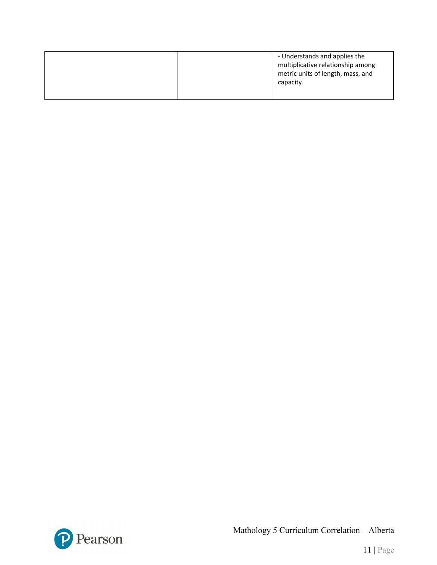|  | - Understands and applies the<br>multiplicative relationship among<br>metric units of length, mass, and<br>capacity. |
|--|----------------------------------------------------------------------------------------------------------------------|
|  |                                                                                                                      |



Mathology 5 Curriculum Correlation – Alberta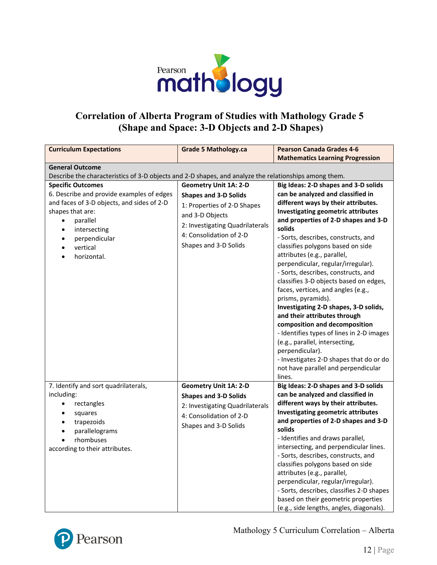

### **Correlation of Alberta Program of Studies with Mathology Grade 5 (Shape and Space: 3-D Objects and 2-D Shapes)**

| <b>Curriculum Expectations</b>                                                                                                                                                                                                                                      | <b>Grade 5 Mathology.ca</b>                                                                                                                                                                           | <b>Pearson Canada Grades 4-6</b>                                                                                                                                                                                                                                                                                                                                                                                                                                                                                                                                                                                                                                                                                                                                                                                      |
|---------------------------------------------------------------------------------------------------------------------------------------------------------------------------------------------------------------------------------------------------------------------|-------------------------------------------------------------------------------------------------------------------------------------------------------------------------------------------------------|-----------------------------------------------------------------------------------------------------------------------------------------------------------------------------------------------------------------------------------------------------------------------------------------------------------------------------------------------------------------------------------------------------------------------------------------------------------------------------------------------------------------------------------------------------------------------------------------------------------------------------------------------------------------------------------------------------------------------------------------------------------------------------------------------------------------------|
|                                                                                                                                                                                                                                                                     |                                                                                                                                                                                                       | <b>Mathematics Learning Progression</b>                                                                                                                                                                                                                                                                                                                                                                                                                                                                                                                                                                                                                                                                                                                                                                               |
| <b>General Outcome</b><br>Describe the characteristics of 3-D objects and 2-D shapes, and analyze the relationships among them.                                                                                                                                     |                                                                                                                                                                                                       |                                                                                                                                                                                                                                                                                                                                                                                                                                                                                                                                                                                                                                                                                                                                                                                                                       |
| <b>Specific Outcomes</b><br>6. Describe and provide examples of edges<br>and faces of 3-D objects, and sides of 2-D<br>shapes that are:<br>parallel<br>$\bullet$<br>intersecting<br>$\bullet$<br>perpendicular<br>$\bullet$<br>vertical<br>$\bullet$<br>horizontal. | <b>Geometry Unit 1A: 2-D</b><br><b>Shapes and 3-D Solids</b><br>1: Properties of 2-D Shapes<br>and 3-D Objects<br>2: Investigating Quadrilaterals<br>4: Consolidation of 2-D<br>Shapes and 3-D Solids | Big Ideas: 2-D shapes and 3-D solids<br>can be analyzed and classified in<br>different ways by their attributes.<br><b>Investigating geometric attributes</b><br>and properties of 2-D shapes and 3-D<br>solids<br>- Sorts, describes, constructs, and<br>classifies polygons based on side<br>attributes (e.g., parallel,<br>perpendicular, regular/irregular).<br>- Sorts, describes, constructs, and<br>classifies 3-D objects based on edges,<br>faces, vertices, and angles (e.g.,<br>prisms, pyramids).<br>Investigating 2-D shapes, 3-D solids,<br>and their attributes through<br>composition and decomposition<br>- Identifies types of lines in 2-D images<br>(e.g., parallel, intersecting,<br>perpendicular).<br>- Investigates 2-D shapes that do or do<br>not have parallel and perpendicular<br>lines. |
| 7. Identify and sort quadrilaterals,<br>including:<br>rectangles<br>$\bullet$<br>squares<br>$\bullet$<br>trapezoids<br>$\bullet$<br>parallelograms<br>$\bullet$<br>rhombuses<br>according to their attributes.                                                      | <b>Geometry Unit 1A: 2-D</b><br><b>Shapes and 3-D Solids</b><br>2: Investigating Quadrilaterals<br>4: Consolidation of 2-D<br>Shapes and 3-D Solids                                                   | Big Ideas: 2-D shapes and 3-D solids<br>can be analyzed and classified in<br>different ways by their attributes.<br><b>Investigating geometric attributes</b><br>and properties of 2-D shapes and 3-D<br>solids<br>- Identifies and draws parallel,<br>intersecting, and perpendicular lines.<br>- Sorts, describes, constructs, and<br>classifies polygons based on side<br>attributes (e.g., parallel,<br>perpendicular, regular/irregular).<br>- Sorts, describes, classifies 2-D shapes<br>based on their geometric properties<br>(e.g., side lengths, angles, diagonals).                                                                                                                                                                                                                                        |



Mathology 5 Curriculum Correlation – Alberta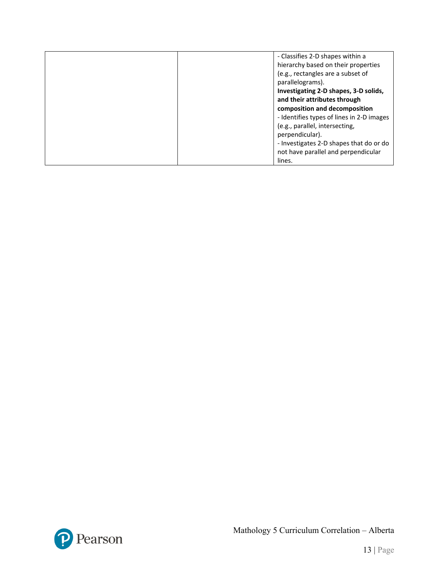| - Classifies 2-D shapes within a          |
|-------------------------------------------|
| hierarchy based on their properties       |
| (e.g., rectangles are a subset of         |
| parallelograms).                          |
| Investigating 2-D shapes, 3-D solids,     |
| and their attributes through              |
| composition and decomposition             |
| - Identifies types of lines in 2-D images |
| (e.g., parallel, intersecting,            |
| perpendicular).                           |
| - Investigates 2-D shapes that do or do   |
| not have parallel and perpendicular       |
| lines.                                    |

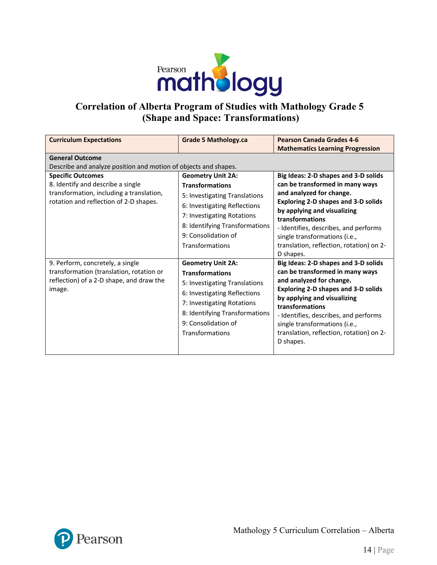

# **Correlation of Alberta Program of Studies with Mathology Grade 5 (Shape and Space: Transformations)**

| <b>Curriculum Expectations</b>                                                                                                                      | <b>Grade 5 Mathology.ca</b>                                                                                                                                                                                                   | <b>Pearson Canada Grades 4-6</b><br><b>Mathematics Learning Progression</b>                                                                                                                                                                                                                                                            |  |  |
|-----------------------------------------------------------------------------------------------------------------------------------------------------|-------------------------------------------------------------------------------------------------------------------------------------------------------------------------------------------------------------------------------|----------------------------------------------------------------------------------------------------------------------------------------------------------------------------------------------------------------------------------------------------------------------------------------------------------------------------------------|--|--|
| <b>General Outcome</b><br>Describe and analyze position and motion of objects and shapes.                                                           |                                                                                                                                                                                                                               |                                                                                                                                                                                                                                                                                                                                        |  |  |
| <b>Specific Outcomes</b><br>8. Identify and describe a single<br>transformation, including a translation,<br>rotation and reflection of 2-D shapes. | <b>Geometry Unit 2A:</b><br><b>Transformations</b><br>5: Investigating Translations<br>6: Investigating Reflections<br>7: Investigating Rotations<br>8: Identifying Transformations<br>9: Consolidation of<br>Transformations | Big Ideas: 2-D shapes and 3-D solids<br>can be transformed in many ways<br>and analyzed for change.<br><b>Exploring 2-D shapes and 3-D solids</b><br>by applying and visualizing<br>transformations<br>- Identifies, describes, and performs<br>single transformations (i.e.,<br>translation, reflection, rotation) on 2-<br>D shapes. |  |  |
| 9. Perform, concretely, a single<br>transformation (translation, rotation or<br>reflection) of a 2-D shape, and draw the<br>image.                  | <b>Geometry Unit 2A:</b><br><b>Transformations</b><br>5: Investigating Translations<br>6: Investigating Reflections<br>7: Investigating Rotations<br>8: Identifying Transformations<br>9: Consolidation of<br>Transformations | Big Ideas: 2-D shapes and 3-D solids<br>can be transformed in many ways<br>and analyzed for change.<br><b>Exploring 2-D shapes and 3-D solids</b><br>by applying and visualizing<br>transformations<br>- Identifies, describes, and performs<br>single transformations (i.e.,<br>translation, reflection, rotation) on 2-<br>D shapes. |  |  |

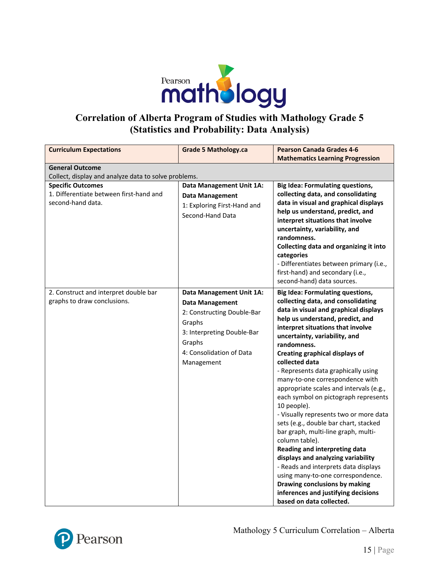

### **Correlation of Alberta Program of Studies with Mathology Grade 5 (Statistics and Probability: Data Analysis)**

| <b>Curriculum Expectations</b>                                                           | <b>Grade 5 Mathology.ca</b>                                                                                                                                                  | <b>Pearson Canada Grades 4-6</b>                                                                                                                                                                                                                                                                                                                                                                                                                                                                                                                                                                                                                                                                                                                                                                                                                                                           |
|------------------------------------------------------------------------------------------|------------------------------------------------------------------------------------------------------------------------------------------------------------------------------|--------------------------------------------------------------------------------------------------------------------------------------------------------------------------------------------------------------------------------------------------------------------------------------------------------------------------------------------------------------------------------------------------------------------------------------------------------------------------------------------------------------------------------------------------------------------------------------------------------------------------------------------------------------------------------------------------------------------------------------------------------------------------------------------------------------------------------------------------------------------------------------------|
|                                                                                          |                                                                                                                                                                              | <b>Mathematics Learning Progression</b>                                                                                                                                                                                                                                                                                                                                                                                                                                                                                                                                                                                                                                                                                                                                                                                                                                                    |
| <b>General Outcome</b>                                                                   |                                                                                                                                                                              |                                                                                                                                                                                                                                                                                                                                                                                                                                                                                                                                                                                                                                                                                                                                                                                                                                                                                            |
| Collect, display and analyze data to solve problems.                                     |                                                                                                                                                                              |                                                                                                                                                                                                                                                                                                                                                                                                                                                                                                                                                                                                                                                                                                                                                                                                                                                                                            |
| <b>Specific Outcomes</b><br>1. Differentiate between first-hand and<br>second-hand data. | Data Management Unit 1A:<br><b>Data Management</b><br>1: Exploring First-Hand and<br>Second-Hand Data                                                                        | <b>Big Idea: Formulating questions,</b><br>collecting data, and consolidating<br>data in visual and graphical displays<br>help us understand, predict, and<br>interpret situations that involve<br>uncertainty, variability, and<br>randomness.<br>Collecting data and organizing it into                                                                                                                                                                                                                                                                                                                                                                                                                                                                                                                                                                                                  |
|                                                                                          |                                                                                                                                                                              | categories<br>- Differentiates between primary (i.e.,<br>first-hand) and secondary (i.e.,<br>second-hand) data sources.                                                                                                                                                                                                                                                                                                                                                                                                                                                                                                                                                                                                                                                                                                                                                                    |
| 2. Construct and interpret double bar<br>graphs to draw conclusions.                     | Data Management Unit 1A:<br><b>Data Management</b><br>2: Constructing Double-Bar<br>Graphs<br>3: Interpreting Double-Bar<br>Graphs<br>4: Consolidation of Data<br>Management | <b>Big Idea: Formulating questions,</b><br>collecting data, and consolidating<br>data in visual and graphical displays<br>help us understand, predict, and<br>interpret situations that involve<br>uncertainty, variability, and<br>randomness.<br><b>Creating graphical displays of</b><br>collected data<br>- Represents data graphically using<br>many-to-one correspondence with<br>appropriate scales and intervals (e.g.,<br>each symbol on pictograph represents<br>10 people).<br>- Visually represents two or more data<br>sets (e.g., double bar chart, stacked<br>bar graph, multi-line graph, multi-<br>column table).<br>Reading and interpreting data<br>displays and analyzing variability<br>- Reads and interprets data displays<br>using many-to-one correspondence.<br>Drawing conclusions by making<br>inferences and justifying decisions<br>based on data collected. |

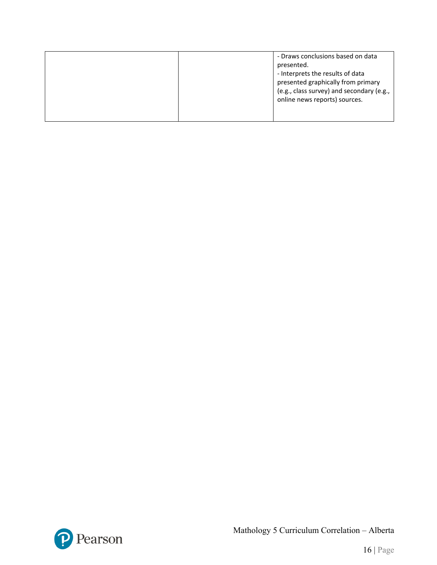| online news reports) sources. |
|-------------------------------|
|-------------------------------|